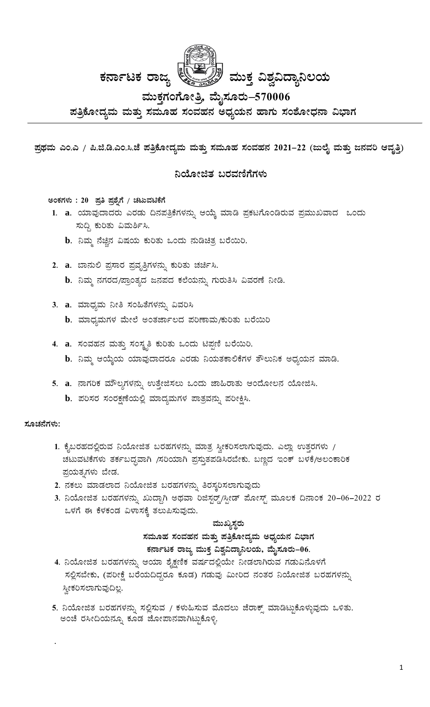

ಮುಕ್ತಗಂಗೋತ್ತಿ, ಮೈಸೂರು–570006

ಪತ್ರಿಕೋದ್ಯಮ ಮತ್ತು ಸಮೂಹ ಸಂವಹನ ಅಧ್ಯಯನ ಹಾಗು ಸಂಶೋಧನಾ ವಿಭಾಗ

ಪ್ರಥಮ ಎಂ.ಎ / ಪಿ.ಜಿ.ಡಿ.ಎಂ.ಸಿ.ಜೆ ಪತ್ರಿಕೋದ್ಯಮ ಮತ್ತು ಸಮೂಹ ಸಂವಹನ 2021–22 (ಜುಲೈ ಮತ್ತು ಜನವರಿ ಆವೃತ್ತಿ)

### ನಿಯೋಜಿತ ಬರವಣಿಗೆಗಳು

# ಅಂಕಗಳು : 20 ಪ್ರತಿ ಪ್ರಶ್ನೆಗೆ / ಚಟುವಟಿಕೆಗೆ

- 1. a. ಯಾವುದಾದರು ಎರಡು ದಿನಪತ್ರಿಕೆಗಳನ್ನು ಆಯ್ಕೆ ಮಾಡಿ ಪ್ರಕಟಗೊಂಡಿರುವ ಪ್ರಮುಖವಾದ ಒಂದು ಸುದ್ದಿ ಕುರಿತು ವಿಮರ್ಶಿಸಿ.
	- b. ನಿಮ್ಮ ನೆಚ್ಚಿನ ವಿಷಯ ಕುರಿತು ಒಂದು ನುಡಿಚಿತ್ರ ಬರೆಯಿರಿ.
- 2. a. ಬಾನುಲಿ ಪ್ರಸಾರ ಪ್ರವೃತ್ತಿಗಳನ್ನು ಕುರಿತು ಚರ್ಚಿಸಿ.
	- $\mathbf b$ . ನಿಮ್ಮ ನಗರದ/ಪ್ರಾಂತ್ಯದ ಜನಪದ ಕಲೆಯನ್ನು ಗುರುತಿಸಿ ವಿವರಣೆ ನೀಡಿ.
- 3. a. ಮಾಧ್ಯಮ ನೀತಿ ಸಂಹಿತೆಗಳನ್ನು ವಿವರಿಸಿ
	- b. ಮಾಧ್ಯಮಗಳ ಮೇಲೆ ಅಂತರ್ಜಾಲದ ಪರಿಣಾಮ/ಕುರಿತು ಬರೆಯಿರಿ
- 4. a. ಸಂವಹನ ಮತ್ತು ಸಂಸ್ಥೃತಿ ಕುರಿತು ಒಂದು ಟಿಪ್ಪಣಿ ಬರೆಯಿರಿ. b. ನಿಮ್ಮ ಆಯ್ಕೆಯ ಯಾವುದಾದರೂ ಎರಡು ನಿಯತಕಾಲಿಕೆಗಳ ತೌಲುನಿಕ ಅಧ್ಯಯನ ಮಾಡಿ.
- 5. a. ನಾಗರಿಕ ಮೌಲ್ಯಗಳನ್ನು ಉತ್ತೇಜಿಸಲು ಒಂದು ಜಾಹಿರಾತು ಆಂದೋಲನ ಯೋಜಿಸಿ.
	- b. ಪರಿಸರ ಸಂರಕ್ಷಣೆಯಲ್ಲಿ ಮಾದ್ಯಮಗಳ ಪಾತ್ರವನ್ನು ಪರೀಕ್ಷಿಸಿ.

#### ಸೂಚನೆಗಳು:

- 1. ಕೈಬರಹದಲ್ಲಿರುವ ನಿಯೋಜಿತ ಬರಹಗಳನ್ನು ಮಾತ್ರ ಸ್ವೀಕರಿಸಲಾಗುವುದು. ಎಲ್ಲಾ ಉತ್ತರಗಳು / ಚಟುವಟಿಕೆಗಳು ತರ್ಕಬದ್ಧವಾಗಿ /ಸರಿಯಾಗಿ ಪ್ರಸ್ತುತಪಡಿಸಿರಬೇಕು. ಬಣ್ಣದ ಇಂಕ್ ಬಳಕೆ/ಅಲಂಕಾರಿಕ ಪ್ರಯತ್ನಗಳು ಬೇಡ.
- 2. ನಕಲು ಮಾಡಲಾದ ನಿಯೋಜಿತ ಬರಹಗಳನ್ನು ತಿರಸ್ತರಿಸಲಾಗುವುದು
- 3. ನಿಯೋಜಿತ ಬರಹಗಳನ್ನು ಖುದ್ದಾಗಿ ಅಥವಾ ರಿಜಿಸ್ಟರ್ಡ್ಡ್/ಸ್ಪೀಡ್ ಪೋಸ್ಟ್ ಮೂಲಕ ದಿನಾಂಕ 20–06–2022 ರ ಒಳಗೆ ಈ ಕೆಳಕಂಡ ವಿಳಾಸಕ್ಕೆ ತಲುಪಿಸುವುದು.

#### ಮುಖ್ಯಸ್ಥರು

ಸಮೂಹ ಸಂವಹನ ಮತ್ತು ಪತ್ರಿಕೋದ್ಯಮ ಅಧ್ಯಯನ ವಿಭಾಗ ಕರ್ನಾಟಕ ರಾಜ್ಯ ಮುಕ್ತ ವಿಶ್ವವಿದ್ಯಾನಿಲಯ, ಮೈಸೂರು–06.

- 4. ನಿಯೋಜಿತ ಬರಹಗಳನ್ನು ಆಯಾ ಶೈಕ್ಷಣಿಕ ವರ್ಷದಲ್ಲಿಯೇ ನೀಡಲಾಗಿರುವ ಗಡುವಿನೊಳಗೆ ಸಲ್ಲಿಸಬೇಕು, (ಪರೀಕ್ಷೆ ಬರೆಯದಿದ್ದರೂ ಕೂಡ) ಗಡುವು ಮೀರಿದ ನಂತರ ನಿಯೋಜಿತ ಬರಹಗಳನ್ನು ಸ್ತೀಕರಿಸಲಾಗುವುದಿಲ್ಲ.
- 5. ನಿಯೋಜಿತ ಬರಹಗಳನ್ನು ಸಲ್ಲಿಸುವ / ಕಳುಹಿಸುವ ಮೊದಲು ಜೆರಾಕ್ಸ್ ಮಾಡಿಟ್ಟುಕೊಳ್ಳುವುದು ಒಳಿತು. ಅಂಚೆ ರಸೀದಿಯನ್ನೂ ಕೂಡ ಜೋಪಾನವಾಗಿಟ್ಟುಕೊಳ್ಳಿ.